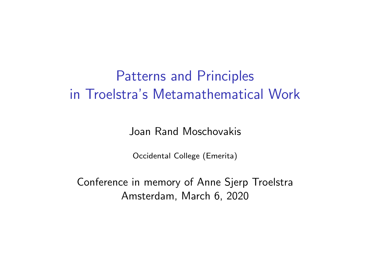# Patterns and Principles in Troelstra's Metamathematical Work

Joan Rand Moschovakis

Occidental College (Emerita)

Conference in memory of Anne Sjerp Troelstra Amsterdam, March 6, 2020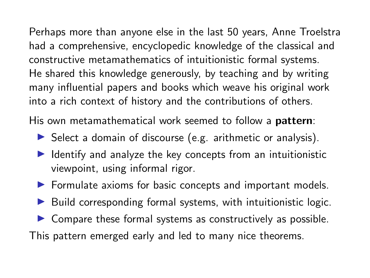Perhaps more than anyone else in the last 50 years, Anne Troelstra had a comprehensive, encyclopedic knowledge of the classical and constructive metamathematics of intuitionistic formal systems. He shared this knowledge generously, by teaching and by writing many influential papers and books which weave his original work into a rich context of history and the contributions of others.

His own metamathematical work seemed to follow a **pattern**:

- $\triangleright$  Select a domain of discourse (e.g. arithmetic or analysis).
- $\blacktriangleright$  Identify and analyze the key concepts from an intuitionistic viewpoint, using informal rigor.
- $\triangleright$  Formulate axioms for basic concepts and important models.
- $\blacktriangleright$  Build corresponding formal systems, with intuitionistic logic.
- $\triangleright$  Compare these formal systems as constructively as possible.

This pattern emerged early and led to many nice theorems.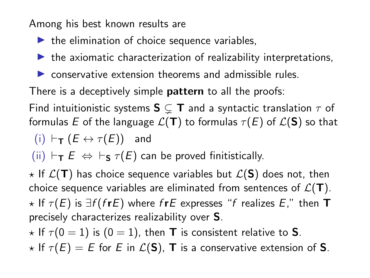Among his best known results are

- $\blacktriangleright$  the elimination of choice sequence variables,
- $\blacktriangleright$  the axiomatic characterization of realizability interpretations,
- $\triangleright$  conservative extension theorems and admissible rules.

There is a deceptively simple **pattern** to all the proofs:

Find intuitionistic systems  $\mathsf{S} \subsetneq \mathsf{T}$  and a syntactic translation  $\tau$  of formulas E of the language  $\mathcal{L}(\mathbf{T})$  to formulas  $\tau(E)$  of  $\mathcal{L}(\mathbf{S})$  so that

$$
(\mathsf{i})\ \vdash_{\mathsf{T}} (E \leftrightarrow \tau(E))\quad\text{and}\quad
$$

(ii)  $\vdash_{\mathsf{T}} E \Leftrightarrow \vdash_{\mathsf{S}} \tau(E)$  can be proved finitistically.

 $\star$  If  $\mathcal{L}(\mathbf{T})$  has choice sequence variables but  $\mathcal{L}(\mathbf{S})$  does not, then choice sequence variables are eliminated from sentences of  $\mathcal{L}(\mathbf{T})$ .  $\star$  If  $\tau(E)$  is  $\exists f$  (frE) where frE expresses "f realizes E," then **T** precisely characterizes realizability over S.

 $\star$  If  $\tau$ (0 = 1) is (0 = 1), then **T** is consistent relative to **S**.

 $\star$  If  $\tau(E) = E$  for E in  $\mathcal{L}(S)$ , **T** is a conservative extension of **S**.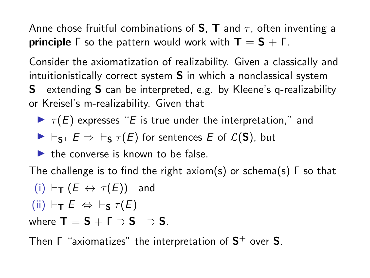Anne chose fruitful combinations of **S**, **T** and  $\tau$ , often inventing a **principle**  $\Gamma$  so the pattern would work with  $\mathbf{T} = \mathbf{S} + \Gamma$ .

Consider the axiomatization of realizability. Given a classically and intuitionistically correct system S in which a nonclassical system  $\mathsf{S}^{+}$  extending  $\mathsf{S}$  can be interpreted, e.g. by Kleene's q-realizability or Kreisel's m-realizability. Given that

 $\blacktriangleright \tau(E)$  expresses "E is true under the interpretation," and

$$
\blacktriangleright \vdash_{S^+} E \Rightarrow \vdash_S \tau(E) \text{ for sentences } E \text{ of } \mathcal{L}(S), \text{ but }
$$

 $\blacktriangleright$  the converse is known to be false.

The challenge is to find the right axiom(s) or schema(s) Γ so that

(i) 
$$
\vdash_{\mathsf{T}} (E \leftrightarrow \tau(E))
$$
 and  
(ii)  $\vdash_{\mathsf{T}} E \Leftrightarrow \vdash_{\mathsf{S}} \tau(E)$ 

where  $\textsf{T}=\textsf{S}+\textsf{\textsf{F}}\supset \textsf{S}^+\supset \textsf{S}.$ 

Then  $\Gamma$  "axiomatizes" the interpretation of  $\mathsf{S}^{+}$  over  $\mathsf{S}.$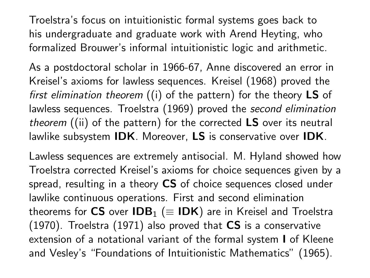Troelstra's focus on intuitionistic formal systems goes back to his undergraduate and graduate work with Arend Heyting, who formalized Brouwer's informal intuitionistic logic and arithmetic.

As a postdoctoral scholar in 1966-67, Anne discovered an error in Kreisel's axioms for lawless sequences. Kreisel (1968) proved the first elimination theorem  $(i)$  of the pattern) for the theory LS of lawless sequences. Troelstra (1969) proved the second elimination theorem  $(iii)$  of the pattern) for the corrected  $LS$  over its neutral lawlike subsystem IDK. Moreover, LS is conservative over IDK.

Lawless sequences are extremely antisocial. M. Hyland showed how Troelstra corrected Kreisel's axioms for choice sequences given by a spread, resulting in a theory CS of choice sequences closed under lawlike continuous operations. First and second elimination theorems for CS over  $IDB_1$  ( $\equiv IDK$ ) are in Kreisel and Troelstra  $(1970)$ . Troelstra  $(1971)$  also proved that CS is a conservative extension of a notational variant of the formal system I of Kleene and Vesley's "Foundations of Intuitionistic Mathematics" (1965).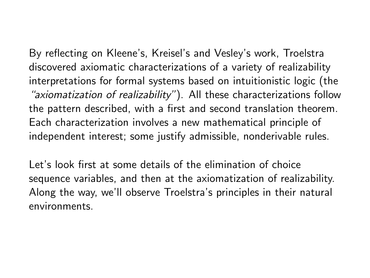By reflecting on Kleene's, Kreisel's and Vesley's work, Troelstra discovered axiomatic characterizations of a variety of realizability interpretations for formal systems based on intuitionistic logic (the "axiomatization of realizability"). All these characterizations follow the pattern described, with a first and second translation theorem. Each characterization involves a new mathematical principle of independent interest; some justify admissible, nonderivable rules.

Let's look first at some details of the elimination of choice sequence variables, and then at the axiomatization of realizability. Along the way, we'll observe Troelstra's principles in their natural environments.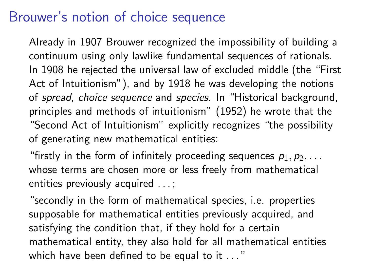## Brouwer's notion of choice sequence

Already in 1907 Brouwer recognized the impossibility of building a continuum using only lawlike fundamental sequences of rationals. In 1908 he rejected the universal law of excluded middle (the "First Act of Intuitionism"), and by 1918 he was developing the notions of spread, choice sequence and species. In "Historical background, principles and methods of intuitionism" (1952) he wrote that the "Second Act of Intuitionism" explicitly recognizes "the possibility of generating new mathematical entities:

"firstly in the form of infinitely proceeding sequences  $p_1, p_2, \ldots$ whose terms are chosen more or less freely from mathematical entities previously acquired . . . ;

"secondly in the form of mathematical species, i.e. properties supposable for mathematical entities previously acquired, and satisfying the condition that, if they hold for a certain mathematical entity, they also hold for all mathematical entities which have been defined to be equal to it ..."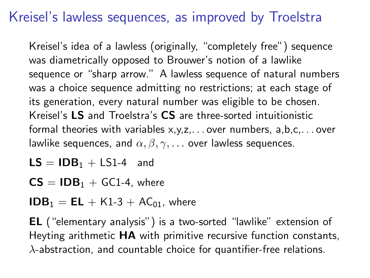# Kreisel's lawless sequences, as improved by Troelstra

Kreisel's idea of a lawless (originally, "completely free") sequence was diametrically opposed to Brouwer's notion of a lawlike sequence or "sharp arrow." A lawless sequence of natural numbers was a choice sequence admitting no restrictions; at each stage of its generation, every natural number was eligible to be chosen. Kreisel's LS and Troelstra's CS are three-sorted intuitionistic formal theories with variables x,y,z,. . . over numbers, a,b,c,. . . over lawlike sequences, and  $\alpha, \beta, \gamma, \ldots$  over lawless sequences.

- $LS = IDE<sub>1</sub> + LS<sub>1</sub>-4$  and
- $CS = IDB<sub>1</sub> + GC1-4$ , where

 $$ 

EL ("elementary analysis") is a two-sorted "lawlike" extension of Heyting arithmetic HA with primitive recursive function constants,  $\lambda$ -abstraction, and countable choice for quantifier-free relations.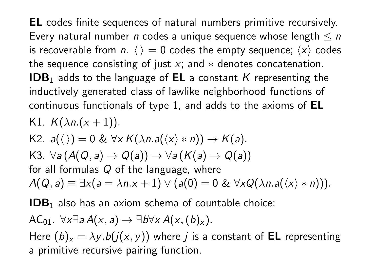EL codes finite sequences of natural numbers primitive recursively. Every natural number *n* codes a unique sequence whose length  $\leq n$ is recoverable from n.  $\langle \rangle = 0$  codes the empty sequence;  $\langle x \rangle$  codes the sequence consisting of just x; and  $*$  denotes concatenation. **IDB**<sub>1</sub> adds to the language of **EL** a constant K representing the inductively generated class of lawlike neighborhood functions of continuous functionals of type 1, and adds to the axioms of EL K1.  $K(\lambda n.(x+1)).$ 

K2.  $a(\langle \rangle) = 0 \& \forall x K(\lambda n.a(\langle x \rangle * n)) \rightarrow K(a).$ K3.  $\forall a (A(Q, a) \rightarrow Q(a)) \rightarrow \forall a (K(a) \rightarrow Q(a))$ for all formulas  $Q$  of the language, where  $A(Q, a) \equiv \exists x (a = \lambda n.x + 1) \vee (a(0) = 0 \& \forall x Q(\lambda n.a(\langle x \rangle * n))).$ 

 $IDB<sub>1</sub>$  also has an axiom schema of countable choice:

$$
AC_{01}. \ \forall x \exists a \, A(x,a) \rightarrow \exists b \forall x \, A(x,(b)_x).
$$

Here  $(b)_x = \lambda y.b(j(x, y))$  where *j* is a constant of **EL** representing a primitive recursive pairing function.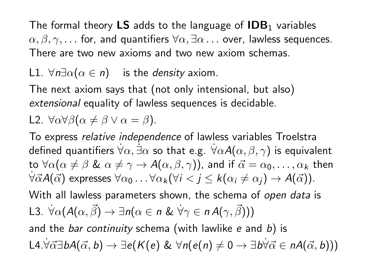The formal theory LS adds to the language of  $\mathsf{IDB}_1$  variables  $\alpha, \beta, \gamma, \ldots$  for, and quantifiers  $\forall \alpha, \exists \alpha \ldots$  over, lawless sequences. There are two new axioms and two new axiom schemas.

### L1.  $\forall n \exists \alpha (\alpha \in n)$  is the *density* axiom.

The next axiom says that (not only intensional, but also) extensional equality of lawless sequences is decidable.

$$
\text{L2. } \forall \alpha \forall \beta (\alpha \neq \beta \lor \alpha = \beta).
$$

To express relative independence of lawless variables Troelstra defined quantifiers  $\forall \alpha$ ,  $\exists \alpha$  so that e.g.  $\forall \alpha A(\alpha, \beta, \gamma)$  is equivalent to  $\forall \alpha (\alpha \neq \beta \& \alpha \neq \gamma \rightarrow A(\alpha, \beta, \gamma))$ , and if  $\vec{\alpha} = \alpha_0, \ldots, \alpha_k$  then  $\forall \vec{\alpha} A(\vec{\alpha})$  expresses  $\forall \alpha_0 \dots \forall \alpha_k (\forall i < j \leq k(\alpha_i \neq \alpha_i) \rightarrow A(\vec{\alpha})).$ With all lawless parameters shown, the schema of open data is

13. 
$$
\forall \alpha (A(\alpha, \vec{\beta}) \rightarrow \exists n (\alpha \in n \& \forall \gamma \in n A(\gamma, \vec{\beta})))
$$

\n14.  $\forall \alpha (A(\alpha, \vec{\beta}) \rightarrow \exists n (\alpha \in n \& \forall \gamma \in n A(\gamma, \vec{\beta})))$ 

and the *bar continuity* schema (with lawlike  $e$  and  $b$ ) is L4. $\forall \vec{\alpha} \exists bA(\vec{\alpha}, b) \rightarrow \exists e(K(e) \& \forall n(e(n) \neq 0 \rightarrow \exists b \forall \vec{\alpha} \in nA(\vec{\alpha}, b)))$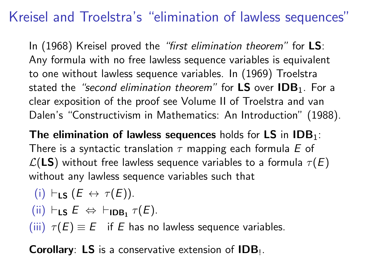# Kreisel and Troelstra's "elimination of lawless sequences"

In (1968) Kreisel proved the "first elimination theorem" for **LS**: Any formula with no free lawless sequence variables is equivalent to one without lawless sequence variables. In (1969) Troelstra stated the "second elimination theorem" for  $LS$  over  $IDB<sub>1</sub>$ . For a clear exposition of the proof see Volume II of Troelstra and van Dalen's "Constructivism in Mathematics: An Introduction" (1988).

The elimination of lawless sequences holds for LS in  $\text{IDB}_1$ : There is a syntactic translation  $\tau$  mapping each formula E of  $\mathcal{L}(LS)$  without free lawless sequence variables to a formula  $\tau(E)$ without any lawless sequence variables such that

(i) 
$$
\vdash_{LS} (E \leftrightarrow \tau(E)).
$$

(ii) 
$$
\vdash_{LS} E \Leftrightarrow \vdash_{IDB_1} \tau(E)
$$
.

(iii)  $\tau(E) \equiv E$  if E has no lawless sequence variables.

**Corollary: LS** is a conservative extension of  $IDB_{\perp}$ .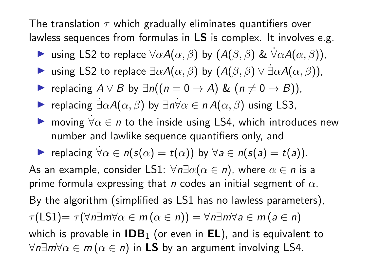The translation  $\tau$  which gradually eliminates quantifiers over lawless sequences from formulas in LS is complex. It involves e.g.

- **►** using LS2 to replace  $\forall \alpha A(\alpha, \beta)$  by  $(A(\beta, \beta) \& \forall \alpha A(\alpha, \beta))$ ,
- $\triangleright$  using LS2 to replace  $\exists \alpha A(\alpha, \beta)$  by  $(A(\beta, \beta) \vee \exists \alpha A(\alpha, \beta))$ ,
- replacing  $A \vee B$  by  $\exists n((n = 0 \rightarrow A) \& (n \neq 0 \rightarrow B))$ ,
- **►** replacing  $\exists \alpha A(\alpha, \beta)$  by  $\exists n \forall \alpha \in n A(\alpha, \beta)$  using LS3,
- $\triangleright$  moving  $\forall \alpha \in \mathbb{n}$  to the inside using LS4, which introduces new number and lawlike sequence quantifiers only, and

replacing  $\forall \alpha \in n(s(\alpha) = t(\alpha))$  by  $\forall a \in n(s(a) = t(a))$ .

As an example, consider LS1:  $\forall n \exists \alpha (\alpha \in n)$ , where  $\alpha \in n$  is a prime formula expressing that n codes an initial segment of  $\alpha$ . By the algorithm (simplified as LS1 has no lawless parameters),  $\tau(\textsf{LS1}) = \tau(\forall n \exists m \forall \alpha \in m \, (\alpha \in n)) = \forall n \exists m \forall a \in m \, (a \in n)$ which is provable in  $\mathsf{IDB}_1$  (or even in  $\mathsf{EL}$ ), and is equivalent to  $\forall n \exists m \forall \alpha \in m \, (\alpha \in n)$  in LS by an argument involving LS4.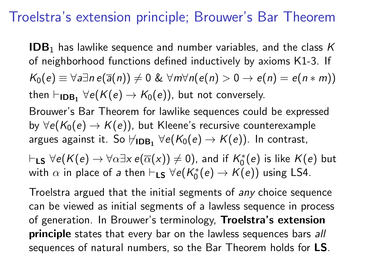## Troelstra's extension principle; Brouwer's Bar Theorem

**IDB**<sub>1</sub> has lawlike sequence and number variables, and the class  $K$ of neighborhood functions defined inductively by axioms K1-3. If  $K_0(e) \equiv \forall a \exists n \, e(\overline{a}(n)) \neq 0 \& \forall m \forall n (e(n) > 0 \rightarrow e(n) = e(n * m))$ then  $\vdash_{\mathsf{IDB}_1}\forall e(\mathcal{K}(e) \rightarrow \mathcal{K}_0(e))$ , but not conversely.

Brouwer's Bar Theorem for lawlike sequences could be expressed by  $\forall e(K_0(e) \rightarrow K(e))$ , but Kleene's recursive counterexample argues against it. So  $\forall_{\mathsf{IDB}_1}\; \forall e(\mathcal{K}_0(e) \rightarrow \mathcal{K}(e)).$  In contrast,

 $\vdash_{\mathsf{LS}} \forall e(\mathcal{K}(e) \to \forall \alpha \exists \mathsf{x}\ e(\overline{\alpha}(\mathsf{x})) \neq 0)$ , and if  $\mathcal{K}_0^*(e)$  is like  $\mathcal{K}(e)$  but with  $\alpha$  in place of a then  $\vdash_{\mathsf{LS}} \forall e(\mathcal{K}^*_0(e) \to \mathcal{K}(e))$  using LS4.

Troelstra argued that the initial segments of any choice sequence can be viewed as initial segments of a lawless sequence in process of generation. In Brouwer's terminology, Troelstra's extension principle states that every bar on the lawless sequences bars all sequences of natural numbers, so the Bar Theorem holds for **LS**.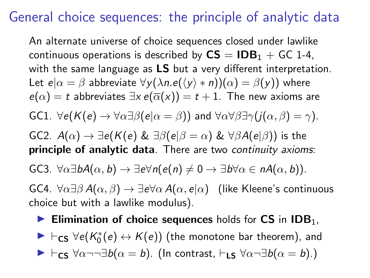### General choice sequences: the principle of analytic data

An alternate universe of choice sequences closed under lawlike continuous operations is described by  $CS = IDB_1 + GC$  1-4, with the same language as LS but a very different interpretation. Let  $e|\alpha = \beta$  abbreviate  $\forall y(\lambda n.e(\langle y \rangle * n))(\alpha) = \beta(y)$ ) where  $e(\alpha) = t$  abbreviates  $\exists x e(\overline{\alpha}(x)) = t + 1$ . The new axioms are GC1.  $\forall e(K(e) \rightarrow \forall \alpha \exists \beta (e | \alpha = \beta))$  and  $\forall \alpha \forall \beta \exists \gamma (j(\alpha, \beta) = \gamma)$ . GC2.  $A(\alpha) \rightarrow \exists e(K(e) \& \exists \beta(e|\beta = \alpha) \& \forall \beta A(e|\beta))$  is the principle of analytic data. There are two continuity axioms: GC3.  $\forall \alpha \exists b A(\alpha, b) \rightarrow \exists e \forall n (e(n) \neq 0 \rightarrow \exists b \forall \alpha \in n A(\alpha, b)).$ GC4.  $\forall \alpha \exists \beta A(\alpha, \beta) \rightarrow \exists e \forall \alpha A(\alpha, e|\alpha)$  (like Kleene's continuous choice but with a lawlike modulus).

Elimination of choice sequences holds for  $CS$  in  $IBB<sub>1</sub>$ ,

 $\blacktriangleright \vdash_{\mathsf{CS}} \forall e(\mathcal{K}^*_0(e) \leftrightarrow \mathcal{K}(e))$  (the monotone bar theorem), and  $\blacktriangleright \vdash_{\mathsf{CS}} \forall \alpha \neg \neg \exists b(\alpha = b).$  (In contrast,  $\vdash_{\mathsf{LS}} \forall \alpha \neg \exists b(\alpha = b).$ )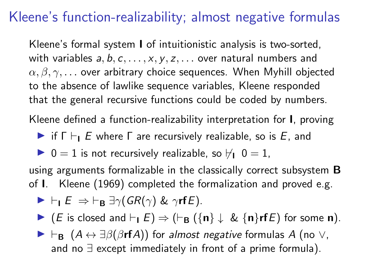# Kleene's function-realizability; almost negative formulas

Kleene's formal system I of intuitionistic analysis is two-sorted, with variables  $a, b, c, \ldots, x, y, z, \ldots$  over natural numbers and  $\alpha, \beta, \gamma, \ldots$  over arbitrary choice sequences. When Myhill objected to the absence of lawlike sequence variables, Kleene responded that the general recursive functions could be coded by numbers.

Kleene defined a function-realizability interpretation for I, proving

 $\triangleright$  if  $\Gamma \vdash_{\mathsf{I}} E$  where  $\Gamma$  are recursively realizable, so is E, and

 $\triangleright$  0 = 1 is not recursively realizable, so  $\forall$ <sub>1</sub> 0 = 1,

using arguments formalizable in the classically correct subsystem **B** of I. Kleene (1969) completed the formalization and proved e.g.

$$
\blacktriangleright \vdash_{\mathsf{I}} E \Rightarrow \vdash_{\mathsf{B}} \exists \gamma (GR(\gamma) \& \gamma \mathsf{rf} E).
$$

 $\blacktriangleright$  (*E* is closed and  $\vdash$ <sub>I</sub>  $E$ )  $\Rightarrow$  ( $\vdash$ <sub>B</sub> ({n}  $\downarrow$  & {n}rf*E*) for some n).

 $\blacktriangleright \vdash_{\mathbf{B}} (A \leftrightarrow \exists \beta(\beta \mathbf{r} \mathbf{f} A))$  for almost negative formulas A (no  $\vee$ , and no ∃ except immediately in front of a prime formula).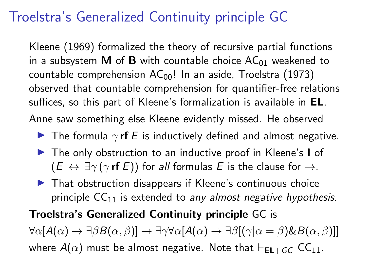# Troelstra's Generalized Continuity principle GC

Kleene (1969) formalized the theory of recursive partial functions in a subsystem **M** of **B** with countable choice  $AC_{01}$  weakened to countable comprehension  $AC_{00}$ ! In an aside, Troelstra (1973) observed that countable comprehension for quantifier-free relations suffices, so this part of Kleene's formalization is available in EL. Anne saw something else Kleene evidently missed. He observed

- **I** The formula  $\gamma$  **rf** E is inductively defined and almost negative.
- ▶ The only obstruction to an inductive proof in Kleene's I of  $(E \leftrightarrow \exists \gamma (\gamma \text{ rf } E))$  for all formulas E is the clause for  $\rightarrow$ .
- $\blacktriangleright$  That obstruction disappears if Kleene's continuous choice principle  $CC_{11}$  is extended to any almost negative hypothesis.

#### Troelstra's Generalized Continuity principle GC is

 $\forall \alpha \left[ A(\alpha) \rightarrow \exists \beta B(\alpha, \beta) \right] \rightarrow \exists \gamma \forall \alpha \left[ A(\alpha) \rightarrow \exists \beta \left[ (\gamma | \alpha = \beta) \& B(\alpha, \beta) \right] \right]$ where  $A(\alpha)$  must be almost negative. Note that  $\vdash_{EL+GC} CC_{11}$ .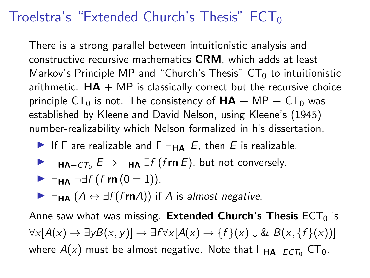### Troelstra's "Extended Church's Thesis"  $ECT_0$

There is a strong parallel between intuitionistic analysis and constructive recursive mathematics CRM, which adds at least Markov's Principle MP and "Church's Thesis"  $CT_0$  to intuitionistic arithmetic.  $HA + MP$  is classically correct but the recursive choice principle CT<sub>0</sub> is not. The consistency of  $HA + MP + CT_0$  was established by Kleene and David Nelson, using Kleene's (1945) number-realizability which Nelson formalized in his dissertation.

- If  $\Gamma$  are realizable and  $\Gamma \vdash_{\mathbf{HA}} E$ , then E is realizable.
- $\blacktriangleright$   $\vdash_{\mathsf{HA}+\mathsf{CT}_0} E \Rightarrow \vdash_{\mathsf{HA}} \exists f \text{ (fm } E),$  but not conversely.

$$
\blacktriangleright \vdash_{\mathsf{HA}} \neg \exists f \, (f \mathop{\mathsf{rn}}\nolimits(0=1)).
$$

 $\blacktriangleright \vdash_{\mathsf{HA}} (A \leftrightarrow \exists f (frnA))$  if A is almost negative.

Anne saw what was missing. Extended Church's Thesis  $ECT<sub>0</sub>$  is  $\forall x[A(x) \rightarrow \exists yB(x, y)] \rightarrow \exists f \forall x[A(x) \rightarrow \{f\}(x) \downarrow \& B(x, \{f\}(x))]$ where  $A(x)$  must be almost negative. Note that  $\vdash_{\mathbf{HA}+ECT_0} CT_0$ .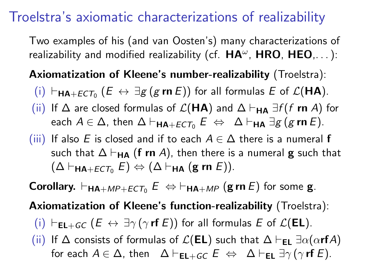## Troelstra's axiomatic characterizations of realizability

Two examples of his (and van Oosten's) many characterizations of realizability and modified realizability (cf.  $HA^{\omega}$ ,  $HRO$ ,  $HEO, \ldots$  ):

### Axiomatization of Kleene's number-realizability (Troelstra):

- $(i)$   $\vdash_{\mathsf{HA} + ECT_0} (E \leftrightarrow \exists g (g \mathsf{rn} E))$  for all formulas E of  $\mathcal{L}(\mathsf{HA})$ .
- (ii) If  $\Delta$  are closed formulas of  $\mathcal{L}(\mathbf{HA})$  and  $\Delta \vdash_{\mathbf{HA}} \exists f (f \mathbf{rn } A)$  for each  $A \in \Delta$ , then  $\Delta \vdash_{\mathbf{HA}+ECT_0} E \Leftrightarrow \Delta \vdash_{\mathbf{HA}} \exists g (g \mathbf{rn} E).$
- (iii) If also E is closed and if to each  $A \in \Delta$  there is a numeral f such that  $\Delta \vdash_{HA}$  (f rn A), then there is a numeral **g** such that  $(\Delta \vdash_{\mathsf{HA}+FCT_0} E) \Leftrightarrow (\Delta \vdash_{\mathsf{HA}} (\mathsf{g} \mathsf{rn} E)).$

**Corollary.**  $\vdash_{\mathsf{HA}+MP+ECT_0} E \Leftrightarrow \vdash_{\mathsf{HA}+MP} (\mathsf{g} \mathsf{r} \mathsf{n} \ E)$  for some **g**.

Axiomatization of Kleene's function-realizability (Troelstra):

(i)  $\vdash_{EL+GC} (E \leftrightarrow \exists \gamma (\gamma \text{ rf } E))$  for all formulas E of  $\mathcal{L}(EL)$ .

(ii) If  $\Delta$  consists of formulas of  $\mathcal{L}(EL)$  such that  $\Delta \vdash_{EL} \exists \alpha(\alpha \mathbf{r}fA)$ for each  $A \in \Delta$ , then  $\Delta \vdash_{EL+GC} E \Leftrightarrow \Delta \vdash_{EL} \exists \gamma (\gamma \text{rf } E).$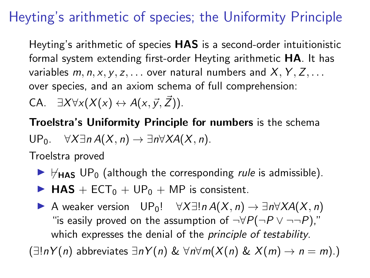# Heyting's arithmetic of species; the Uniformity Principle

Heyting's arithmetic of species HAS is a second-order intuitionistic formal system extending first-order Heyting arithmetic HA. It has variables  $m, n, x, y, z, \ldots$  over natural numbers and  $X, Y, Z, \ldots$ over species, and an axiom schema of full comprehension:

CA.  $\exists X \forall x (X(x) \leftrightarrow A(x, \vec{y}, \vec{Z})).$ 

Troelstra's Uniformity Principle for numbers is the schema

$$
\mathsf{UP}_0. \quad \forall X \exists n \, A(X,n) \to \exists n \forall X A(X,n).
$$

Troelstra proved

- $\blacktriangleright$   $\forall$ <sub>HAS</sub> UP<sub>0</sub> (although the corresponding *rule* is admissible).
- $\blacktriangleright$  HAS + ECT<sub>0</sub> + UP<sub>0</sub> + MP is consistent.
- A weaker version  $UP_0! \quad \forall X \exists! n A(X, n) \rightarrow \exists n \forall X A(X, n)$ "is easily proved on the assumption of  $\neg \forall P(\neg P \lor \neg \neg P)$ ," which expresses the denial of the *principle of testability*.  $(\exists! nY(n)$  abbreviates  $\exists nY(n) \& \forall n\forall m(X(n) \& X(m) \rightarrow n = m)$ .)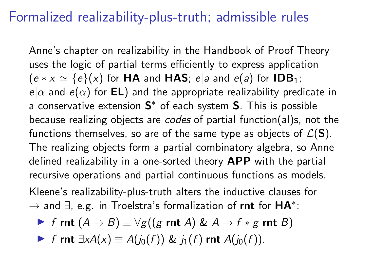### Formalized realizability-plus-truth; admissible rules

Anne's chapter on realizability in the Handbook of Proof Theory uses the logic of partial terms efficiently to express application  $(e * x \simeq {e}(x))$  for **HA** and **HAS**; e|a and e(a) for **IDB**<sub>1</sub>;  $e|\alpha$  and  $e(\alpha)$  for **EL**) and the appropriate realizability predicate in a conservative extension  $\mathbf{S}^*$  of each system  $\mathbf{S}$ . This is possible because realizing objects are codes of partial function(al)s, not the functions themselves, so are of the same type as objects of  $\mathcal{L}(S)$ . The realizing objects form a partial combinatory algebra, so Anne defined realizability in a one-sorted theory APP with the partial recursive operations and partial continuous functions as models.

Kleene's realizability-plus-truth alters the inductive clauses for  $\rightarrow$  and  $\exists$ , e.g. in Troelstra's formalization of rnt for  $HA^*$ :

$$
\blacktriangleright \ f \text{ rnt } (A \to B) \equiv \forall g((g \text{ rnt } A) \& A \to f * g \text{ rnt } B)
$$

**F** f rnt  $\exists x A(x) \equiv A(j_0(f)) \& j_1(f)$  rnt  $A(j_0(f))$ .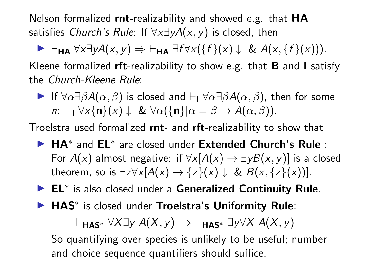Nelson formalized rnt-realizability and showed e.g. that HA satisfies Church's Rule: If  $\forall x \exists y A(x, y)$  is closed, then

 $\blacktriangleright$   $\vdash_{HA}$   $\forall x \exists y A(x, y) \Rightarrow \vdash_{HA} \exists f \forall x (\{f\}(x) \downarrow \& A(x, \{f\}(x))).$ Kleene formalized rft-realizability to show e.g. that  $B$  and I satisfy the Church-Kleene Rule:

If  $\forall \alpha \exists \beta A(\alpha, \beta)$  is closed and  $\vdash$   $\forall \alpha \exists \beta A(\alpha, \beta)$ , then for some n:  $\vdash$ <sub>1</sub>  $\forall$ x{n}(x)  $\downarrow \& \forall \alpha (\{\mathbf{n}\}|\alpha = \beta \rightarrow A(\alpha, \beta)).$ 

Troelstra used formalized rnt- and rft-realizability to show that

- ► HA<sup>\*</sup> and EL<sup>\*</sup> are closed under Extended Church's Rule : For  $A(x)$  almost negative: if  $\forall x[A(x) \rightarrow \exists yB(x, y)]$  is a closed theorem, so is  $\exists z \forall x [A(x) \rightarrow \{z\}(x) \downarrow \& B(x, \{z\}(x))].$
- ► EL<sup>\*</sup> is also closed under a Generalized Continuity Rule.
- ▶ HAS<sup>\*</sup> is closed under Troelstra's Uniformity Rule:

 $\vdash_{\mathsf{HAS}^*} \forall X \exists y A(X, y) \Rightarrow \vdash_{\mathsf{HAS}^*} \exists y \forall X A(X, y)$ 

So quantifying over species is unlikely to be useful; number and choice sequence quantifiers should suffice.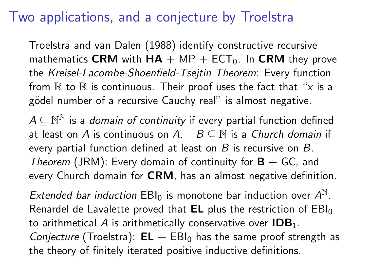## Two applications, and a conjecture by Troelstra

Troelstra and van Dalen (1988) identify constructive recursive mathematics CRM with  $HA + MP + ECT_0$ . In CRM they prove the Kreisel-Lacombe-Shoenfield-Tsejtin Theorem: Every function from  $\mathbb R$  to  $\mathbb R$  is continuous. Their proof uses the fact that "x is a gödel number of a recursive Cauchy real" is almost negative.

 $A\subseteq{\mathbb{N}}^{\mathbb{N}}$  is a *domain of continuity* if every partial function defined at least on A is continuous on A.  $B \subseteq \mathbb{N}$  is a Church domain if every partial function defined at least on  $B$  is recursive on  $B$ . Theorem (JRM): Every domain of continuity for  $B + GC$ , and every Church domain for CRM, has an almost negative definition.

Extended bar induction  $EBI_0$  is monotone bar induction over  $A^{\mathbb{N}}$ . Renardel de Lavalette proved that  $EL$  plus the restriction of  $EBI_0$ to arithmetical A is arithmetically conservative over  $\text{IDB}_1$ . *Conjecture* (Troelstra):  $EL + EBI_0$  has the same proof strength as the theory of finitely iterated positive inductive definitions.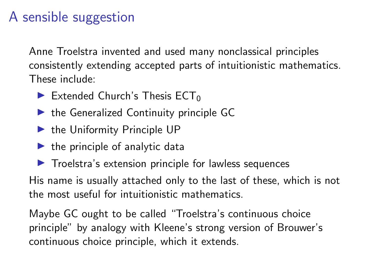# A sensible suggestion

Anne Troelstra invented and used many nonclassical principles consistently extending accepted parts of intuitionistic mathematics. These include:

- Extended Church's Thesis  $ECT_0$
- $\blacktriangleright$  the Generalized Continuity principle GC
- $\blacktriangleright$  the Uniformity Principle UP
- $\blacktriangleright$  the principle of analytic data
- $\blacktriangleright$  Troelstra's extension principle for lawless sequences

His name is usually attached only to the last of these, which is not the most useful for intuitionistic mathematics.

Maybe GC ought to be called "Troelstra's continuous choice principle" by analogy with Kleene's strong version of Brouwer's continuous choice principle, which it extends.